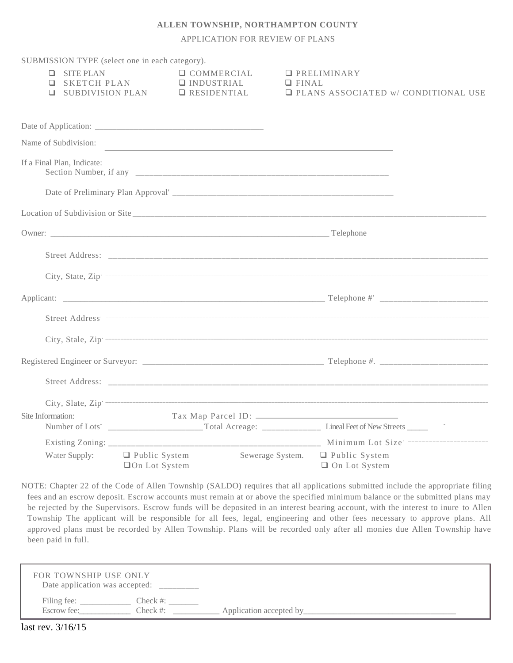## **ALLEN TOWNSHIP, NORTHAMPTON COUNTY**

APPLICATION FOR REVIEW OF PLANS

| SUBMISSION TYPE (select one in each category). |                           |                                                                                                                                                                                                                                |                                                                          |
|------------------------------------------------|---------------------------|--------------------------------------------------------------------------------------------------------------------------------------------------------------------------------------------------------------------------------|--------------------------------------------------------------------------|
| $\Box$ SITE PLAN                               |                           | $\Box$ COMMERCIAL                                                                                                                                                                                                              | $\Box$ PRELIMINARY                                                       |
| $\Box$                                         | <b>Q</b> SUBDIVISION PLAN | SKETCH PLAN DINDUSTRIAL<br>$\Box$ RESIDENTIAL                                                                                                                                                                                  | $\Box$ FINAL<br><b>Q PLANS ASSOCIATED W/ CONDITIONAL USE</b>             |
|                                                |                           |                                                                                                                                                                                                                                |                                                                          |
|                                                |                           |                                                                                                                                                                                                                                |                                                                          |
| Name of Subdivision:                           |                           |                                                                                                                                                                                                                                |                                                                          |
|                                                |                           |                                                                                                                                                                                                                                |                                                                          |
| If a Final Plan, Indicate:                     |                           |                                                                                                                                                                                                                                |                                                                          |
|                                                |                           |                                                                                                                                                                                                                                |                                                                          |
|                                                |                           |                                                                                                                                                                                                                                |                                                                          |
|                                                |                           | Owner: Telephone Communication of the Communication of the Communication of the Communication of the Communication of the Communication of the Communication of the Communication of the Communication of the Communication of |                                                                          |
|                                                |                           |                                                                                                                                                                                                                                |                                                                          |
|                                                |                           |                                                                                                                                                                                                                                |                                                                          |
|                                                |                           |                                                                                                                                                                                                                                |                                                                          |
|                                                |                           |                                                                                                                                                                                                                                |                                                                          |
|                                                |                           |                                                                                                                                                                                                                                |                                                                          |
|                                                |                           |                                                                                                                                                                                                                                |                                                                          |
|                                                |                           |                                                                                                                                                                                                                                |                                                                          |
|                                                |                           |                                                                                                                                                                                                                                |                                                                          |
| Site Information:                              |                           |                                                                                                                                                                                                                                |                                                                          |
|                                                |                           |                                                                                                                                                                                                                                |                                                                          |
|                                                |                           |                                                                                                                                                                                                                                |                                                                          |
| Water Supply:                                  | □On Lot System            |                                                                                                                                                                                                                                | □ Public System Sewerage System. □ Public System<br>$\Box$ On Lot System |

NOTE: Chapter 22 of the Code of Allen Township (SALDO) requires that all applications submitted include the appropriate filing fees and an escrow deposit. Escrow accounts must remain at or above the specified minimum balance or the submitted plans may be rejected by the Supervisors. Escrow funds will be deposited in an interest bearing account, with the interest to inure to Allen Township The applicant will be responsible for all fees, legal, engineering and other fees necessary to approve plans. All approved plans must be recorded by Allen Township. Plans will be recorded only after all monies due Allen Township have been paid in full.

| FOR TOWNSHIP USE ONLY<br>Date application was accepted:  |                         |
|----------------------------------------------------------|-------------------------|
| Filing fee:<br>$Check \#:$<br>Escrow fee:<br>$Check \#:$ | Application accepted by |
| 211/17                                                   |                         |

last rev. 3/16/15